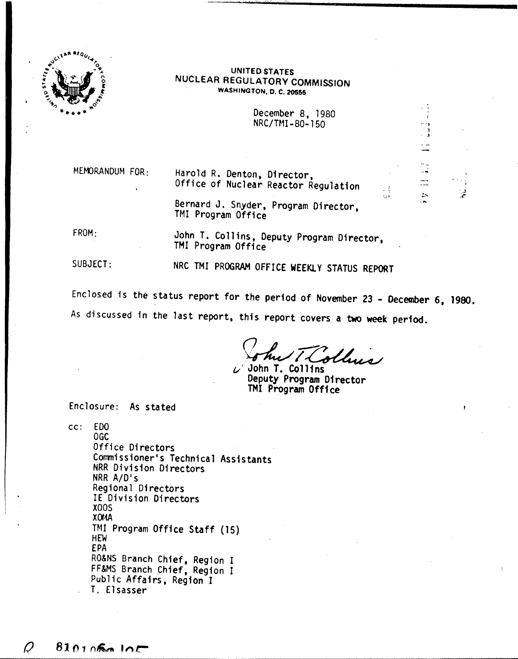

## UNITED STATES NUCLEAR REGULATORY COMMISSION WASHINGTON. D. C. 20555

December 8, 1980 NRC/TMI-80-150

\_.\_- •....•... - **-"""- .....••.\_----------------\_.**

. , **,** 

..\_,  $\ddot{\phantom{1}}$ . )

.•.

 $\cdot$   $\cdot$  $\frac{1}{1000}$ 

MEMORANDUM FOR.

Harold R. Denton, Director, Office of Nuclear Reactor Regulation

Bernard J. Snyder, Program Director, TMI Program Office

FROM:

John T. Collins, Deputy Program Director, TMI Program Office

NRC TMI PROGRAM OFFICE WEEKlY STATUS REPORT

SUBJECT:

Enclosed is the status report for the period of November 23 - December 6, 1980. As discussed in the last report, this report covers a two week period.

*(J ~* .-?? ~~ . \~/~ *i/* John T. Collins

Deputy Program Director TMI Program Office

Enclosure: As stated

cc: EDO OGC Office Directors Commissioner's Technical Assistants NRR Division Directors NRR A/DIs Regional Directors IE Division Directors XOOS **X0MA** TMI Program Office Staff (15) HEW EPA RO&NS Branch Chief, Region I FF&MS Branch Chief, Region I Public Affairs, Region I T. Elsasser

D  $810105010$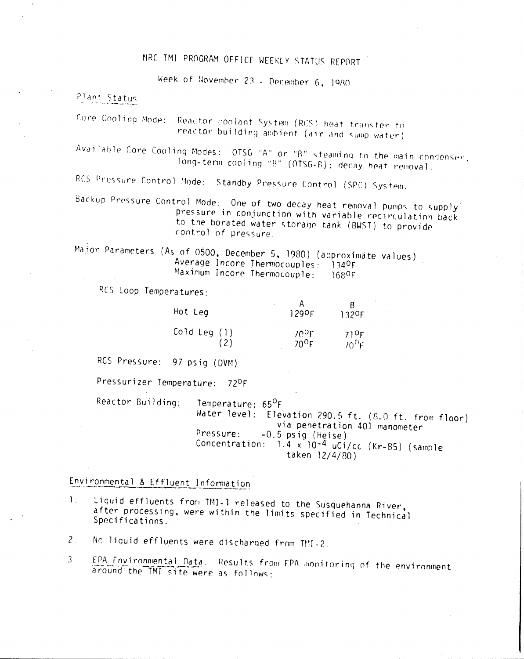# NRC TMI PROGRAM OFFICE WEEKLY STATUS REPORT

Week of November 23 - December 6, 1980

## Plant Status

Core Cooling Mode: Reactor coolant System (RCS) heat transfer to reactor building ambient (air and sump water)

Available Core Cooling Modes: OTSG "A" or "B" steaming to the main condenser; long-term cooling "B" (OTSG-B); decay heat removal.

RCS Pressure Control Mode: Standby Pressure Control (SPC) System.

Backup Pressure Control Mode: One of two decay heat removal pumps to supply pressure in conjunction with variable recirculation back to the borated water storage tank (BWST) to provide control of pressure.

Major Parameters (As of 0500, December 5, 1980) (approximate values) Average Incore Thermocouples: 1340F Maximum Incore Thermocouple: 1680F

RCS Loop Temperatures:

| Hot Leg        | 1290F          | 132 <sup>O</sup> F |
|----------------|----------------|--------------------|
| Cold Leg $(1)$ | 700F           | 710F               |
| (2)            | $70^{\circ}$ F | $70^{\rm O}$ F     |

RCS Pressure: 97 psig (DVM)

Pressurizer Temperature: 72ºF

Reactor Building: Temperature: 65<sup>0</sup>F Water level: Elevation 290.5 ft. (8.0 ft. from floor) via penetration 401 manometer Pressure:  $-0.5$  psig (Heise) Concentration: 1.4 x 10-4 uC1/cc (Kr-85) (sample taken 12/4/80)

# Environmental & Effluent Information

Liquid effluents from TMI-1 released to the Susquehanna River,  $\mathbf{L}$ after processing, were within the limits specified in Technical Specifications.

 $2<sub>1</sub>$ No liquid effluents were discharged from TMI-2.

EPA Environmental Data. Results from EPA monitoring of the environment 3 around the TMT site were as follows: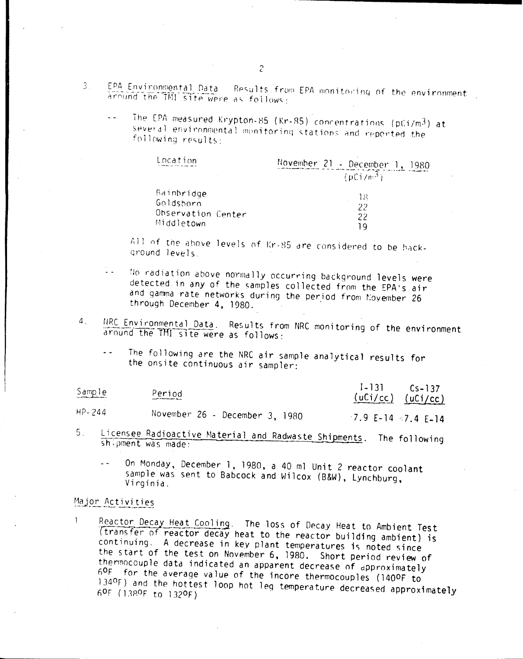- EPA Environmental Data Results from EPA monitoring of the environment  $\mathbb{R}^+$ around the TMI site were as follows:
	- The EPA measured Krypton-85 (Kr-85) concentrations (pCi/m3) at several environmental monitoring stations and reported the following results:

| Location           | November 21 - December 1,<br>1980 |
|--------------------|-----------------------------------|
|                    | (pCi/n; 3)                        |
| Bainbridge         | 18                                |
| Goldshorn          | 22                                |
| Observation Center | 22                                |
| Middletown         |                                   |

All of the above levels of Kr-85 are considered to be background levels.

- No radiation above normally occurring background levels were detected in any of the samples collected from the EPA's air and gamma rate networks during the period from November 26 through December 4, 1980.
- $\mathbf{4}$ . IIRC Environmental Data. Results from NRC monitoring of the environment around the TMI site were as follows:
	- The following are the NRC air sample analytical results for the onsite continuous air sampler:

| Sample     | Period<br>which is the company of the con- | $1 - 131$ $Cs - 137$<br>$(uCi/cc)$ $(uCi/cc)$ |
|------------|--------------------------------------------|-----------------------------------------------|
| $HP - 244$ | November 26 - December 3, 1980             | $-7$ 9 F=14 $-7$ 4 F 14 $-$                   |

Licensee Radioactive Material and Radwaste Shipments. The following  $5<sub>1</sub>$ shipment was made:

On Monday, December 1, 1980, a 40 ml Unit 2 reactor coolant sample was sent to Babcock and Wilcox (B&W), Lynchburg, Virginia.

## Major Activities

Reactor Decay Heat Cooling. The loss of Decay Heat to Ambient Test 1 (transfer of reactor decay heat to the reactor building ambient) is continuing. A decrease in key plant temperatures is noted since the start of the test on November 6, 1980. Short period review of thermocouple data indicated an apparent decrease of approximately 60F for the average value of the incore thermocouples (1400F to 1340F) and the hottest loop hot leg temperature decreased approximately 60F (1380F to 1320F)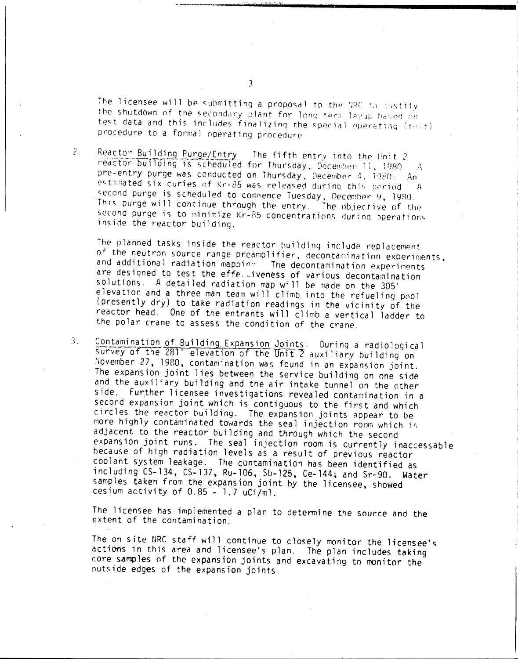The licensee will be submitting a proposal to the NRC to sustify the shutdown of the secondary plant for long term layup based on test data and this includes finalizing the special operating (fost) procedure to a formal operating procedure

 $2.7$ Reactor Building Purge/Entry The fifth entry into the Unit 2 reactor building is scheduled for Thursday, December 11, 1980  $\Delta$ pre-entry purge was conducted on Thursday, December 4, 1980. An estimated six curies of Kr-85 was released during this period.  $\Lambda$ second purge is scheduled to commence Tuesday, December 9, 1980. This purge will continue through the entry. The objective of the second purge is to minimize Kr-85 concentrations during operations inside the reactor building.

The planned tasks inside the reactor building include replacement of the neutron source range preamplifier, decontamination experiments, and additional radiation mappine The decontamination experiments are designed to test the effe. Liveness of various decontamination solutions. A detailed radiation map will be made on the 305' elevation and a three man team will climb into the refueling pool (presently dry) to take radiation readings in the vicinity of the reactor head. One of the entrants will climb a vertical ladder to the polar crane to assess the condition of the crane.

Contamination of Building Expansion Joints. During a radiological  $3.$ survey of the 281' elevation of the Unit 2 auxiliary building on November 27, 1980, contamination was found in an expansion joint. The expansion joint lies between the service building on one side and the auxiliary building and the air intake tunnel on the other side. Further licensee investigations revealed contamination in a second expansion joint which is contiguous to the first and which circles the reactor building. The expansion joints appear to be more highly contaminated towards the seal injection room which is adjacent to the reactor building and through which the second expansion joint runs. The seal injection room is currently inaccessable because of high radiation levels as a result of previous reactor coolant system leakage. The contamination has been identified as including CS-134, CS-137, Ru-106, Sb-125, Ce-144; and Sr-90. Water samples taken from the expansion joint by the licensee, showed cesium activity of 0.85 - 1.7 uCi/ml.

The licensee has implemented a plan to determine the source and the extent of the contamination.

The on site NRC staff will continue to closely monitor the licensee's actions in this area and licensee's plan. The plan includes taking core samples of the expansion joints and excavating to monitor the outside edges of the expansion joints.